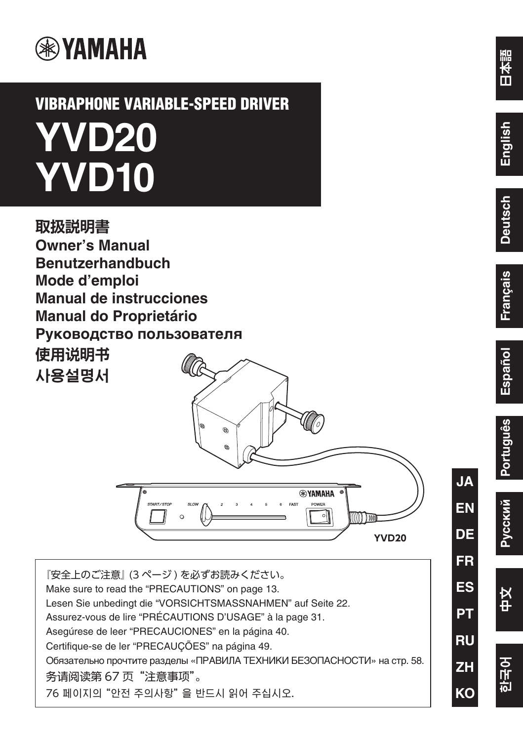

# **VIBRAPHONE VARIABLE-SPEED DRIVER YVD20 YVD10**



『安全上のご注意』 (3 ページ ) を必ずお読みください。 Make sure to read the "PRECAUTIONS" on page 13. Lesen Sie unbedingt [die "VORSICHTSMASSNAHME](#page-1-0)N" auf Seite 22. Assurez-vous de lire "PRÉCAUTIONS D'USAGE" à la page 31. Asegúrese de leer "PRECAUCIONES" en la página 40. 76 페이지의 "안전 주의사항" 을 반드시 읽어 주십시오. Certifique-se de ler "PRECAUÇÕES" na página 49. Обязательно прочтите разделы «ПРАВИЛА ТЕХНИКИ БЕЗОПАСНОСТИ» на стр. 58. 务请阅读第 67 页"注意事项"。

**EN**

**FR**

**PT**

**RU**

**ZH**

**KO**

**ES**

**DE**

**JA**



한국어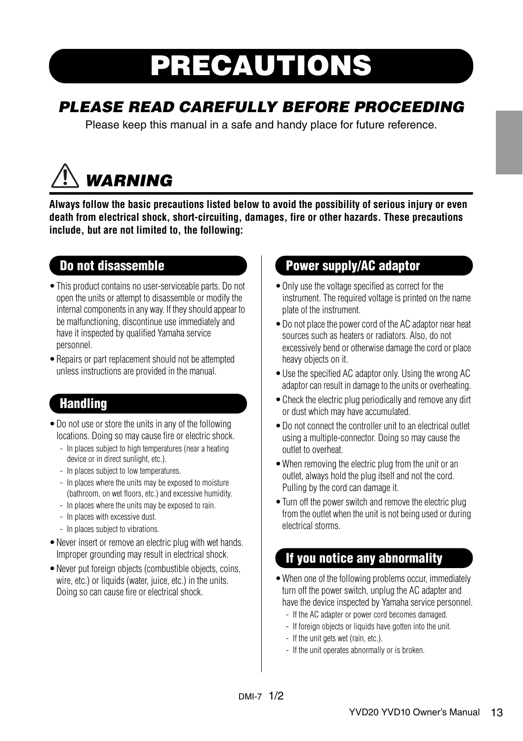# PRECAUTIONS

# <span id="page-1-0"></span>PLEASE READ CAREFULLY BEFORE PROCEEDING

Please keep this manual in a safe and handy place for future reference.

# **WARNING**

**Always follow the basic precautions listed below to avoid the possibility of serious injury or even death from electrical shock, short-circuiting, damages, fire or other hazards. These precautions include, but are not limited to, the following:**

### Do not disassemble

- •This product contains no user-serviceable parts. Do not open the units or attempt to disassemble or modify the internal components in any way. If they should appear to be malfunctioning, discontinue use immediately and have it inspected by qualified Yamaha service personnel.
- •Repairs or part replacement should not be attempted unless instructions are provided in the manual.

## **Handling**

- •Do not use or store the units in any of the following locations. Doing so may cause fire or electric shock.
	- In places subject to high temperatures (near a heating device or in direct sunlight, etc.).
	- In places subject to low temperatures.
	- In places where the units may be exposed to moisture (bathroom, on wet floors, etc.) and excessive humidity.
	- In places where the units may be exposed to rain.
	- In places with excessive dust.
	- In places subject to vibrations.
- •Never insert or remove an electric plug with wet hands. Improper grounding may result in electrical shock.
- •Never put foreign objects (combustible objects, coins, wire, etc.) or liquids (water, juice, etc.) in the units. Doing so can cause fire or electrical shock.

### Power supply/AC adaptor

- •Only use the voltage specified as correct for the instrument. The required voltage is printed on the name plate of the instrument.
- •Do not place the power cord of the AC adaptor near heat sources such as heaters or radiators. Also, do not excessively bend or otherwise damage the cord or place heavy objects on it.
- Use the specified AC adaptor only. Using the wrong AC adaptor can result in damage to the units or overheating.
- •Check the electric plug periodically and remove any dirt or dust which may have accumulated.
- •Do not connect the controller unit to an electrical outlet using a multiple-connector. Doing so may cause the outlet to overheat.
- •When removing the electric plug from the unit or an outlet, always hold the plug itself and not the cord. Pulling by the cord can damage it.
- Turn off the power switch and remove the electric plug from the outlet when the unit is not being used or during electrical storms.

### If you notice any abnormality

- •When one of the following problems occur, immediately turn off the power switch, unplug the AC adapter and have the device inspected by Yamaha service personnel.
	- If the AC adapter or power cord becomes damaged.
	- If foreign objects or liquids have gotten into the unit.
	- If the unit gets wet (rain, etc.).
	- If the unit operates abnormally or is broken.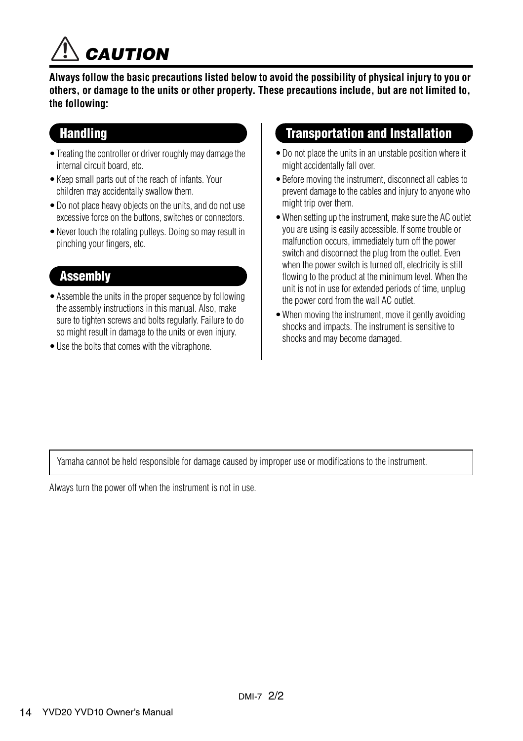

**Always follow the basic precautions listed below to avoid the possibility of physical injury to you or others, or damage to the units or other property. These precautions include, but are not limited to, the following:**

### **Handling**

- •Treating the controller or driver roughly may damage the internal circuit board, etc.
- •Keep small parts out of the reach of infants. Your children may accidentally swallow them.
- •Do not place heavy objects on the units, and do not use excessive force on the buttons, switches or connectors.
- •Never touch the rotating pulleys. Doing so may result in pinching your fingers, etc.

### **Assembly**

- •Assemble the units in the proper sequence by following the assembly instructions in this manual. Also, make sure to tighten screws and bolts regularly. Failure to do so might result in damage to the units or even injury.
- •Use the bolts that comes with the vibraphone.

### Transportation and Installation

- •Do not place the units in an unstable position where it might accidentally fall over.
- •Before moving the instrument, disconnect all cables to prevent damage to the cables and injury to anyone who might trip over them.
- •When setting up the instrument, make sure the AC outlet you are using is easily accessible. If some trouble or malfunction occurs, immediately turn off the power switch and disconnect the plug from the outlet. Even when the power switch is turned off, electricity is still flowing to the product at the minimum level. When the unit is not in use for extended periods of time, unplug the power cord from the wall AC outlet.
- •When moving the instrument, move it gently avoiding shocks and impacts. The instrument is sensitive to shocks and may become damaged.

Yamaha cannot be held responsible for damage caused by improper use or modifications to the instrument.

Always turn the power off when the instrument is not in use.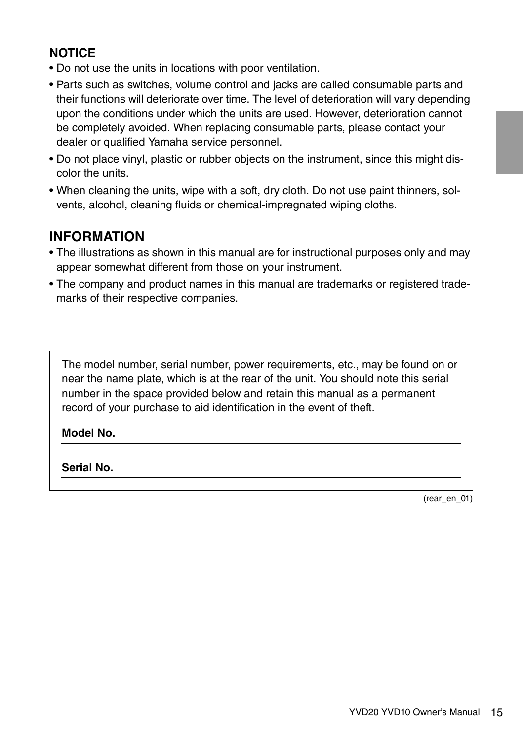### **NOTICE**

- Do not use the units in locations with poor ventilation.
- Parts such as switches, volume control and jacks are called consumable parts and their functions will deteriorate over time. The level of deterioration will vary depending upon the conditions under which the units are used. However, deterioration cannot be completely avoided. When replacing consumable parts, please contact your dealer or qualified Yamaha service personnel.
- Do not place vinyl, plastic or rubber objects on the instrument, since this might discolor the units.
- When cleaning the units, wipe with a soft, dry cloth. Do not use paint thinners, solvents, alcohol, cleaning fluids or chemical-impregnated wiping cloths.

### **INFORMATION**

- The illustrations as shown in this manual are for instructional purposes only and may appear somewhat different from those on your instrument.
- The company and product names in this manual are trademarks or registered trademarks of their respective companies.

The model number, serial number, power requirements, etc., may be found on or near the name plate, which is at the rear of the unit. You should note this serial number in the space provided below and retain this manual as a permanent record of your purchase to aid identification in the event of theft.

#### **Model No.**

#### **Serial No.**

(rear\_en\_01)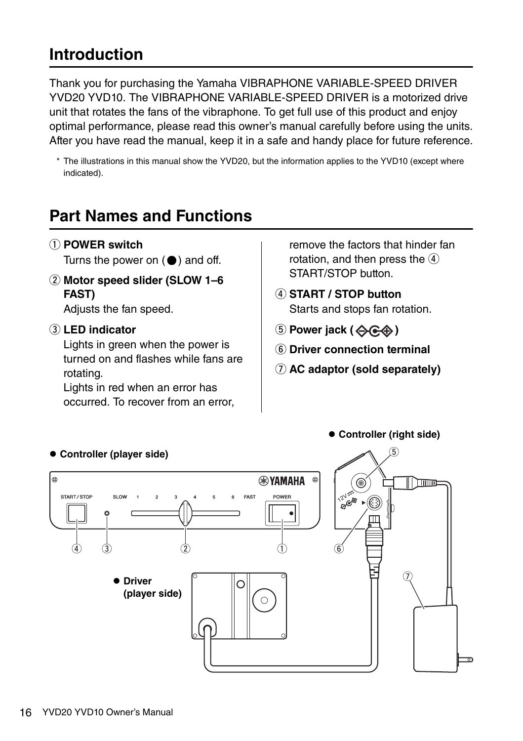## **Introduction**

Thank you for purchasing the Yamaha VIBRAPHONE VARIABLE-SPEED DRIVER YVD20 YVD10. The VIBRAPHONE VARIABLE-SPEED DRIVER is a motorized drive unit that rotates the fans of the vibraphone. To get full use of this product and enjoy optimal performance, please read this owner's manual carefully before using the units. After you have read the manual, keep it in a safe and handy place for future reference.

\* The illustrations in this manual show the YVD20, but the information applies to the YVD10 (except where indicated).

# **Part Names and Functions**

q **POWER switch**

Turns the power on  $($ <sup> $)$ </sup> and off.

w **Motor speed slider (SLOW 1–6 FAST)**

Adjusts the fan speed.

#### e **LED indicator**

Lights in green when the power is turned on and flashes while fans are rotating.

Lights in red when an error has occurred. To recover from an error, remove the factors that hinder fan rotation, and then press the  $\overline{4}$ START/STOP button.

- r **START / STOP button** Starts and stops fan rotation.
- $\circledS$  Power jack ( $\diamondsuit$  $\circledast$ )
- **(6) Driver connection terminal**
- u **AC adaptor (sold separately)**

**Controller (right side)**



#### **Controller (player side)**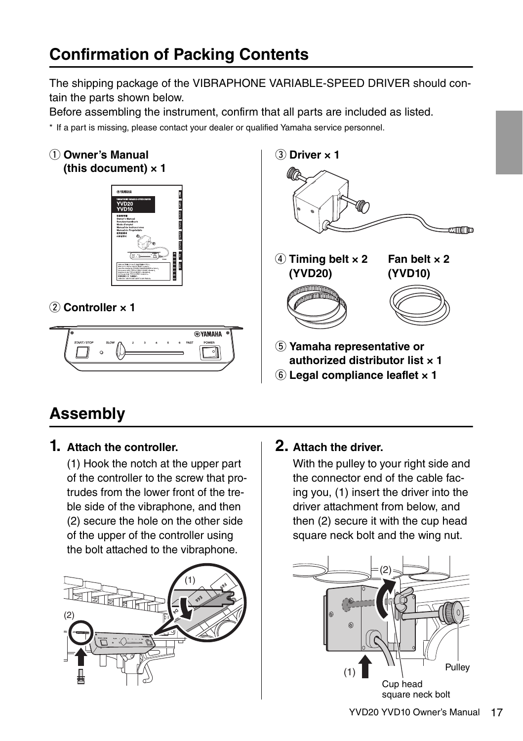# **Confirmation of Packing Contents**

The shipping package of the VIBRAPHONE VARIABLE-SPEED DRIVER should contain the parts shown below.

Before assembling the instrument, confirm that all parts are included as listed.

\* If a part is missing, please contact your dealer or qualified Yamaha service personnel.

#### $(1)$  Owner's Manual **(this document) × 1**



### (2) Controller x 1





- **authorized distributor list × 1**
- $(6)$  Legal compliance leaflet x 1

# **Assembly**

### **1. Attach the controller.**

(1) Hook the notch at the upper part of the controller to the screw that protrudes from the lower front of the treble side of the vibraphone, and then (2) secure the hole on the other side of the upper of the controller using the bolt attached to the vibraphone.



### **2. Attach the driver.**

With the pulley to your right side and the connector end of the cable facing you, (1) insert the driver into the driver attachment from below, and then (2) secure it with the cup head square neck bolt and the wing nut.

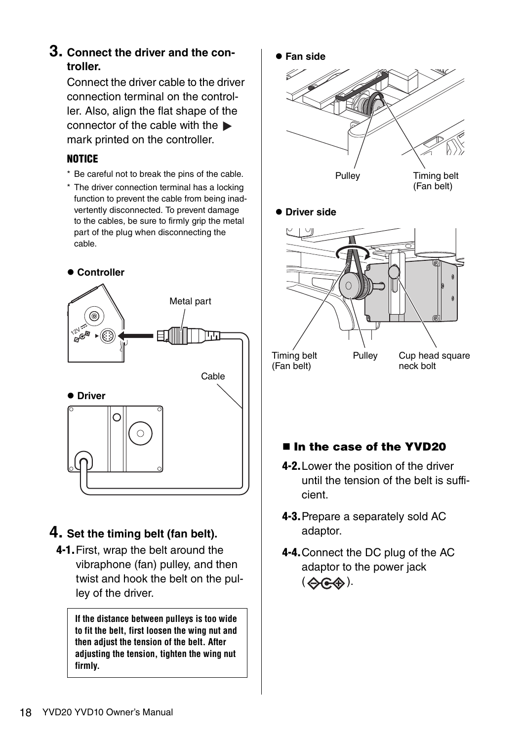### **3. Connect the driver and the controller.**

Connect the driver cable to the driver connection terminal on the controller. Also, align the flat shape of the connector of the cable with the mark printed on the controller.

#### NOTICE

- \* Be careful not to break the pins of the cable.
- \* The driver connection terminal has a locking function to prevent the cable from being inadvertently disconnected. To prevent damage to the cables, be sure to firmly grip the metal part of the plug when disconnecting the cable.



### **4. Set the timing belt (fan belt).**

4-1.First, wrap the belt around the vibraphone (fan) pulley, and then twist and hook the belt on the pulley of the driver.

> **If the distance between pulleys is too wide to fit the belt, first loosen the wing nut and then adjust the tension of the belt. After adjusting the tension, tighten the wing nut firmly.**



(Fan belt)

neck bolt

### ■ In the case of the YVD20

- 4-2.Lower the position of the driver until the tension of the belt is sufficient.
- <span id="page-6-0"></span>4-3.Prepare a separately sold AC adaptor.
- 4-4.Connect the DC plug of the AC adaptor to the power jack  $( \bigoplus_{i \in \mathcal{A}} \bigoplus_{i \in \mathcal{A}} ).$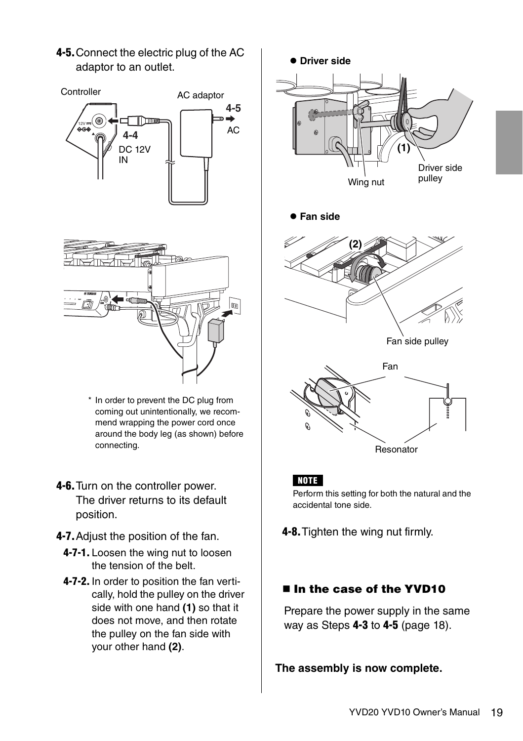4-5.Connect the electric plug of the AC adaptor to an outlet.



- \* In order to prevent the DC plug from coming out unintentionally, we recommend wrapping the power cord once around the body leg (as shown) before connecting.
- <span id="page-7-0"></span>4-6.Turn on the controller power. The driver returns to its default position.
- 4-7.Adjust the position of the fan.
	- 4-7-1. Loosen the wing nut to loosen the tension of the belt.
	- 4-7-2. In order to position the fan vertically, hold the pulley on the driver side with one hand **(1)** so that it does not move, and then rotate the pulley on the fan side with your other hand **(2)**.



### ■ In the case of the YVD10

Prepare the power supply in the same way as Steps 4-3 to 4-5 [\(page 18\)](#page-6-0).

**The assembly is now complete.**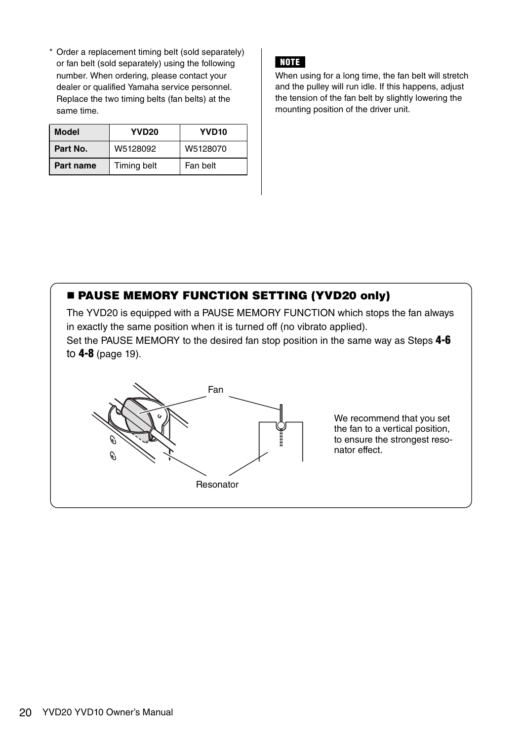\* Order a replacement timing belt (sold separately) or fan belt (sold separately) using the following number. When ordering, please contact your dealer or qualified Yamaha service personnel. Replace the two timing belts (fan belts) at the same time.

| Model     | YVD <sub>20</sub> | YVD <sub>10</sub> |
|-----------|-------------------|-------------------|
| Part No.  | W5128092          | W5128070          |
| Part name | Timing belt       | Fan belt          |

### NOTE

When using for a long time, the fan belt will stretch and the pulley will run idle. If this happens, adjust the tension of the fan belt by slightly lowering the mounting position of the driver unit.

### **E PAUSE MEMORY FUNCTION SETTING (YVD20 only)**

The YVD20 is equipped with a PAUSE MEMORY FUNCTION which stops the fan always in exactly the same position when it is turned off (no vibrato applied).

Set the PAUSE MEMORY to the desired fan stop position in the same way as Steps 4-6 to 4-8 [\(page 19\).](#page-7-0)



We recommend that you set the fan to a vertical position, to ensure the strongest resonator effect.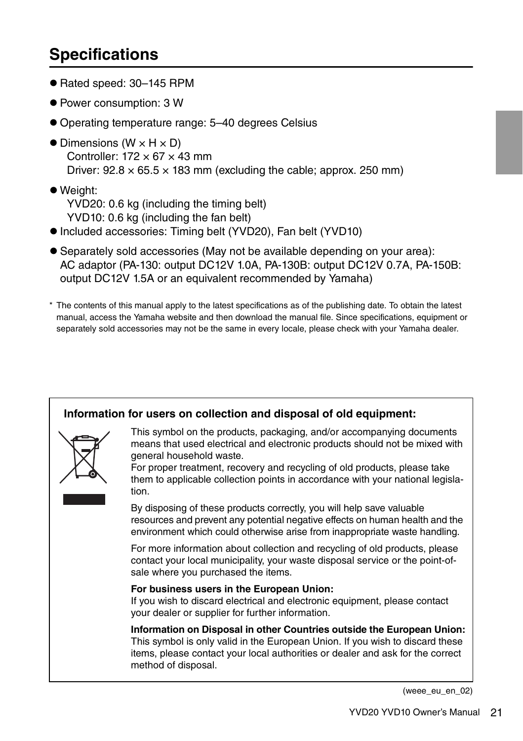# **Specifications**

- Rated speed: 30–145 RPM
- Power consumption: 3 W
- Operating temperature range: 5–40 degrees Celsius
- $\bullet$  Dimensions (W  $\times$  H  $\times$  D) Controller:  $172 \times 67 \times 43$  mm Driver:  $92.8 \times 65.5 \times 183$  mm (excluding the cable; approx. 250 mm)
- Weight: YVD20: 0.6 kg (including the timing belt) YVD10: 0.6 kg (including the fan belt)
- Included accessories: Timing belt (YVD20), Fan belt (YVD10)
- Separately sold accessories (May not be available depending on your area): AC adaptor (PA-130: output DC12V 1.0A, PA-130B: output DC12V 0.7A, PA-150B: output DC12V 1.5A or an equivalent recommended by Yamaha)
- \* The contents of this manual apply to the latest specifications as of the publishing date. To obtain the latest manual, access the Yamaha website and then download the manual file. Since specifications, equipment or separately sold accessories may not be the same in every locale, please check with your Yamaha dealer.



(weee\_eu\_en\_02)